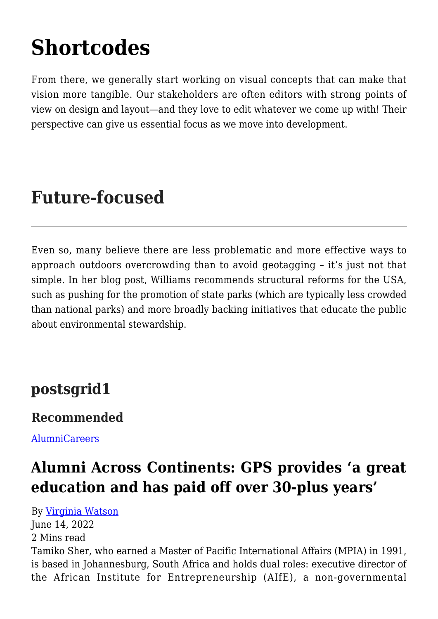# **[Shortcodes](https://gpsnews.ucsd.edu/shortcodes/)**

From there, we generally start working on visual concepts that can make that vision more tangible. Our stakeholders are often editors with strong points of view on design and layout—and they love to edit whatever we come up with! Their perspective can give us essential focus as we move into development.

# **Future-focused**

Even so, many believe there are less problematic and more effective ways to approach outdoors overcrowding than to avoid geotagging – it's just not that simple. In her blog post, Williams recommends structural reforms for the USA, such as pushing for the promotion of state parks (which are typically less crowded than national parks) and more broadly backing initiatives that educate the public about environmental stewardship.

### **postsgrid1**

#### **Recommended**

[Alumni](https://gpsnews.ucsd.edu/category/alumni/)[Careers](https://gpsnews.ucsd.edu/category/careers/)

# **[Alumni Across Continents: GPS provides 'a great](https://gpsnews.ucsd.edu/alumni-across-continents-gps-provides-a-great-education-and-has-paid-off-over-30-plus-years/) [education and has paid off over 30-plus years'](https://gpsnews.ucsd.edu/alumni-across-continents-gps-provides-a-great-education-and-has-paid-off-over-30-plus-years/)**

By [Virginia Watson](https://gpsnews.ucsd.edu/author/vwatson/) June 14, 2022 2 Mins read Tamiko Sher, who earned a Master of Pacific International Affairs (MPIA) in 1991, is based in Johannesburg, South Africa and holds dual roles: executive director of the African Institute for Entrepreneurship (AIfE), a non-governmental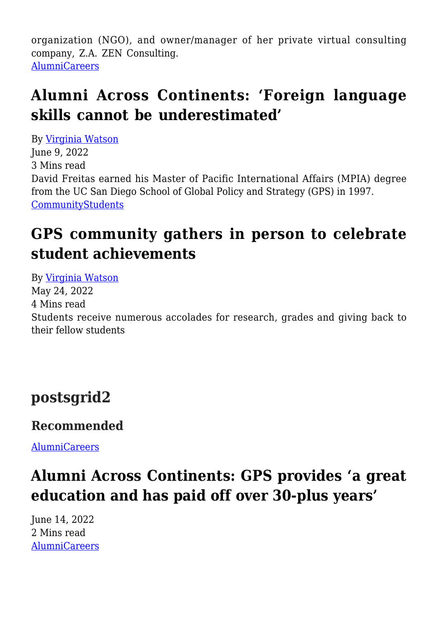organization (NGO), and owner/manager of her private virtual consulting company, Z.A. ZEN Consulting. [Alumni](https://gpsnews.ucsd.edu/category/alumni/)[Careers](https://gpsnews.ucsd.edu/category/careers/)

### **[Alumni Across Continents: 'Foreign language](https://gpsnews.ucsd.edu/alumni-across-contents-foreign-language-skills-cannot-be-underestimated/) [skills cannot be underestimated'](https://gpsnews.ucsd.edu/alumni-across-contents-foreign-language-skills-cannot-be-underestimated/)**

By [Virginia Watson](https://gpsnews.ucsd.edu/author/vwatson/) June 9, 2022 3 Mins read David Freitas earned his Master of Pacific International Affairs (MPIA) degree from the UC San Diego School of Global Policy and Strategy (GPS) in 1997. [Community](https://gpsnews.ucsd.edu/category/community/)[Students](https://gpsnews.ucsd.edu/category/students/)

# **[GPS community gathers in person to celebrate](https://gpsnews.ucsd.edu/gps-community-gathers-in-person-to-celebrate-student-achievements/) [student achievements](https://gpsnews.ucsd.edu/gps-community-gathers-in-person-to-celebrate-student-achievements/)**

By [Virginia Watson](https://gpsnews.ucsd.edu/author/vwatson/) May 24, 2022 4 Mins read Students receive numerous accolades for research, grades and giving back to their fellow students

### **postsgrid2**

#### **Recommended**

[Alumni](https://gpsnews.ucsd.edu/category/alumni/)[Careers](https://gpsnews.ucsd.edu/category/careers/)

# **[Alumni Across Continents: GPS provides 'a great](https://gpsnews.ucsd.edu/alumni-across-continents-gps-provides-a-great-education-and-has-paid-off-over-30-plus-years/) [education and has paid off over 30-plus years'](https://gpsnews.ucsd.edu/alumni-across-continents-gps-provides-a-great-education-and-has-paid-off-over-30-plus-years/)**

June 14, 2022 2 Mins read [Alumni](https://gpsnews.ucsd.edu/category/alumni/)[Careers](https://gpsnews.ucsd.edu/category/careers/)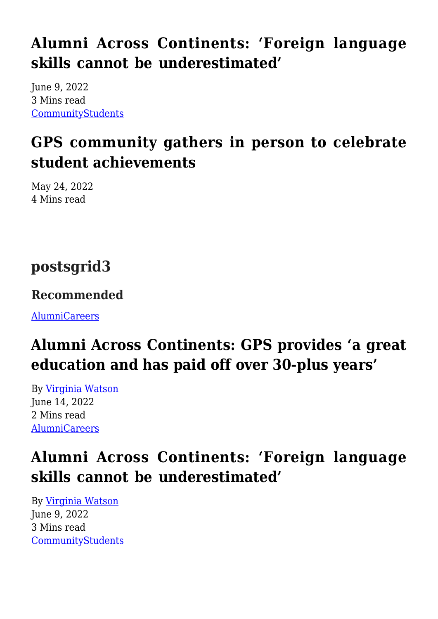# **[Alumni Across Continents: 'Foreign language](https://gpsnews.ucsd.edu/alumni-across-contents-foreign-language-skills-cannot-be-underestimated/) [skills cannot be underestimated'](https://gpsnews.ucsd.edu/alumni-across-contents-foreign-language-skills-cannot-be-underestimated/)**

June 9, 2022 3 Mins read [Community](https://gpsnews.ucsd.edu/category/community/)[Students](https://gpsnews.ucsd.edu/category/students/)

# **[GPS community gathers in person to celebrate](https://gpsnews.ucsd.edu/gps-community-gathers-in-person-to-celebrate-student-achievements/) [student achievements](https://gpsnews.ucsd.edu/gps-community-gathers-in-person-to-celebrate-student-achievements/)**

May 24, 2022 4 Mins read

# **postsgrid3**

#### **Recommended**

[Alumni](https://gpsnews.ucsd.edu/category/alumni/)[Careers](https://gpsnews.ucsd.edu/category/careers/)

# **[Alumni Across Continents: GPS provides 'a great](https://gpsnews.ucsd.edu/alumni-across-continents-gps-provides-a-great-education-and-has-paid-off-over-30-plus-years/) [education and has paid off over 30-plus years'](https://gpsnews.ucsd.edu/alumni-across-continents-gps-provides-a-great-education-and-has-paid-off-over-30-plus-years/)**

By [Virginia Watson](https://gpsnews.ucsd.edu/author/vwatson/) June 14, 2022 2 Mins read [Alumni](https://gpsnews.ucsd.edu/category/alumni/)[Careers](https://gpsnews.ucsd.edu/category/careers/)

# **[Alumni Across Continents: 'Foreign language](https://gpsnews.ucsd.edu/alumni-across-contents-foreign-language-skills-cannot-be-underestimated/) [skills cannot be underestimated'](https://gpsnews.ucsd.edu/alumni-across-contents-foreign-language-skills-cannot-be-underestimated/)**

By [Virginia Watson](https://gpsnews.ucsd.edu/author/vwatson/) June 9, 2022 3 Mins read [Community](https://gpsnews.ucsd.edu/category/community/)[Students](https://gpsnews.ucsd.edu/category/students/)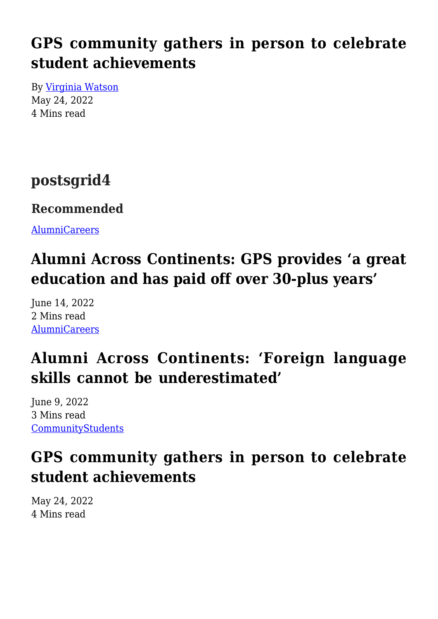# **[GPS community gathers in person to celebrate](https://gpsnews.ucsd.edu/gps-community-gathers-in-person-to-celebrate-student-achievements/) [student achievements](https://gpsnews.ucsd.edu/gps-community-gathers-in-person-to-celebrate-student-achievements/)**

By [Virginia Watson](https://gpsnews.ucsd.edu/author/vwatson/) May 24, 2022 4 Mins read

### **postsgrid4**

#### **Recommended**

[Alumni](https://gpsnews.ucsd.edu/category/alumni/)[Careers](https://gpsnews.ucsd.edu/category/careers/)

# **[Alumni Across Continents: GPS provides 'a great](https://gpsnews.ucsd.edu/alumni-across-continents-gps-provides-a-great-education-and-has-paid-off-over-30-plus-years/) [education and has paid off over 30-plus years'](https://gpsnews.ucsd.edu/alumni-across-continents-gps-provides-a-great-education-and-has-paid-off-over-30-plus-years/)**

June 14, 2022 2 Mins read [Alumni](https://gpsnews.ucsd.edu/category/alumni/)[Careers](https://gpsnews.ucsd.edu/category/careers/)

# **[Alumni Across Continents: 'Foreign language](https://gpsnews.ucsd.edu/alumni-across-contents-foreign-language-skills-cannot-be-underestimated/) [skills cannot be underestimated'](https://gpsnews.ucsd.edu/alumni-across-contents-foreign-language-skills-cannot-be-underestimated/)**

June 9, 2022 3 Mins read [Community](https://gpsnews.ucsd.edu/category/community/)[Students](https://gpsnews.ucsd.edu/category/students/)

### **[GPS community gathers in person to celebrate](https://gpsnews.ucsd.edu/gps-community-gathers-in-person-to-celebrate-student-achievements/) [student achievements](https://gpsnews.ucsd.edu/gps-community-gathers-in-person-to-celebrate-student-achievements/)**

May 24, 2022 4 Mins read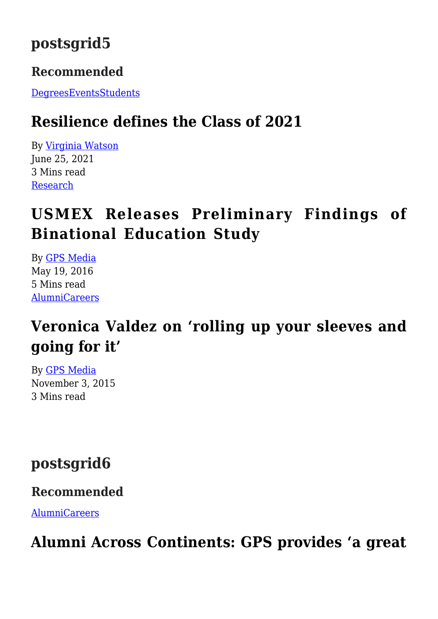### **postsgrid5**

#### **Recommended**

[Degrees](https://gpsnews.ucsd.edu/category/degrees/)[Events](https://gpsnews.ucsd.edu/category/events/)[Students](https://gpsnews.ucsd.edu/category/students/)

### **[Resilience defines the Class of 2021](https://gpsnews.ucsd.edu/resilience-defines-the-class-of-2021/)**

By [Virginia Watson](https://gpsnews.ucsd.edu/author/vwatson/) June 25, 2021 3 Mins read [Research](https://gpsnews.ucsd.edu/category/research/)

# **[USMEX Releases Preliminary Findings of](https://gpsnews.ucsd.edu/usmex-releases-preliminary-findings-of-binational-education-study/) [Binational Education Study](https://gpsnews.ucsd.edu/usmex-releases-preliminary-findings-of-binational-education-study/)**

By [GPS Media](https://gpsnews.ucsd.edu/author/amrobinson/) May 19, 2016 5 Mins read [Alumni](https://gpsnews.ucsd.edu/category/alumni/)[Careers](https://gpsnews.ucsd.edu/category/careers/)

# **[Veronica Valdez on 'rolling up your sleeves and](https://gpsnews.ucsd.edu/veronica-valdez-on-rolling-up-your-sleeves-and-going-for-it/) [going for it'](https://gpsnews.ucsd.edu/veronica-valdez-on-rolling-up-your-sleeves-and-going-for-it/)**

By [GPS Media](https://gpsnews.ucsd.edu/author/amrobinson/) November 3, 2015 3 Mins read

**postsgrid6**

#### **Recommended**

[Alumni](https://gpsnews.ucsd.edu/category/alumni/)[Careers](https://gpsnews.ucsd.edu/category/careers/)

# **[Alumni Across Continents: GPS provides 'a great](https://gpsnews.ucsd.edu/alumni-across-continents-gps-provides-a-great-education-and-has-paid-off-over-30-plus-years/)**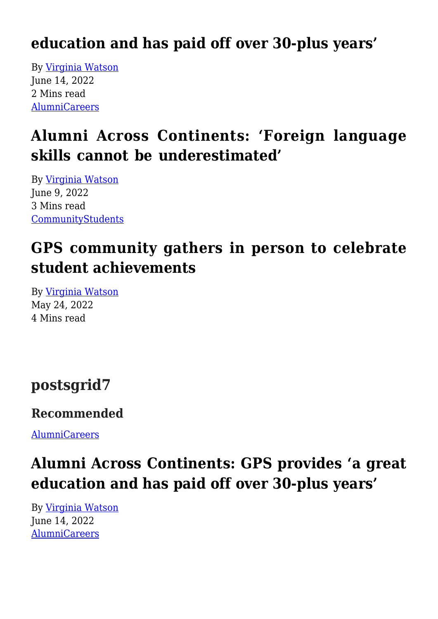### **[education and has paid off over 30-plus years'](https://gpsnews.ucsd.edu/alumni-across-continents-gps-provides-a-great-education-and-has-paid-off-over-30-plus-years/)**

By [Virginia Watson](https://gpsnews.ucsd.edu/author/vwatson/) June 14, 2022 2 Mins read [Alumni](https://gpsnews.ucsd.edu/category/alumni/)[Careers](https://gpsnews.ucsd.edu/category/careers/)

# **[Alumni Across Continents: 'Foreign language](https://gpsnews.ucsd.edu/alumni-across-contents-foreign-language-skills-cannot-be-underestimated/) [skills cannot be underestimated'](https://gpsnews.ucsd.edu/alumni-across-contents-foreign-language-skills-cannot-be-underestimated/)**

By [Virginia Watson](https://gpsnews.ucsd.edu/author/vwatson/) June 9, 2022 3 Mins read [Community](https://gpsnews.ucsd.edu/category/community/)[Students](https://gpsnews.ucsd.edu/category/students/)

# **[GPS community gathers in person to celebrate](https://gpsnews.ucsd.edu/gps-community-gathers-in-person-to-celebrate-student-achievements/) [student achievements](https://gpsnews.ucsd.edu/gps-community-gathers-in-person-to-celebrate-student-achievements/)**

By [Virginia Watson](https://gpsnews.ucsd.edu/author/vwatson/) May 24, 2022 4 Mins read

### **postsgrid7**

#### **Recommended**

[Alumni](https://gpsnews.ucsd.edu/category/alumni/)[Careers](https://gpsnews.ucsd.edu/category/careers/)

# **[Alumni Across Continents: GPS provides 'a great](https://gpsnews.ucsd.edu/alumni-across-continents-gps-provides-a-great-education-and-has-paid-off-over-30-plus-years/) [education and has paid off over 30-plus years'](https://gpsnews.ucsd.edu/alumni-across-continents-gps-provides-a-great-education-and-has-paid-off-over-30-plus-years/)**

By [Virginia Watson](https://gpsnews.ucsd.edu/author/vwatson/) June 14, 2022 [Alumni](https://gpsnews.ucsd.edu/category/alumni/)[Careers](https://gpsnews.ucsd.edu/category/careers/)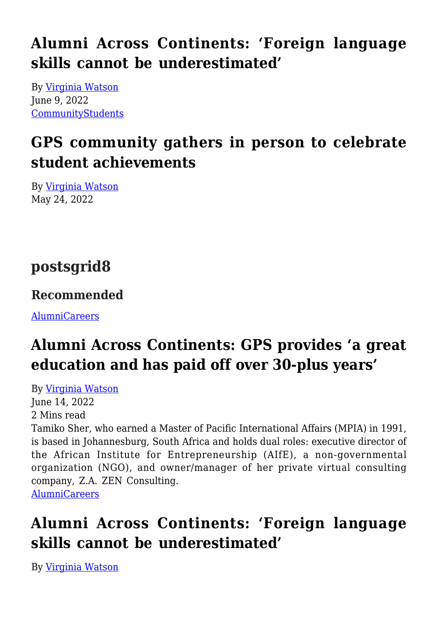# **[Alumni Across Continents: 'Foreign language](https://gpsnews.ucsd.edu/alumni-across-contents-foreign-language-skills-cannot-be-underestimated/) [skills cannot be underestimated'](https://gpsnews.ucsd.edu/alumni-across-contents-foreign-language-skills-cannot-be-underestimated/)**

By [Virginia Watson](https://gpsnews.ucsd.edu/author/vwatson/) June 9, 2022 [Community](https://gpsnews.ucsd.edu/category/community/)[Students](https://gpsnews.ucsd.edu/category/students/)

# **[GPS community gathers in person to celebrate](https://gpsnews.ucsd.edu/gps-community-gathers-in-person-to-celebrate-student-achievements/) [student achievements](https://gpsnews.ucsd.edu/gps-community-gathers-in-person-to-celebrate-student-achievements/)**

By [Virginia Watson](https://gpsnews.ucsd.edu/author/vwatson/) May 24, 2022

# **postsgrid8**

#### **Recommended**

[Alumni](https://gpsnews.ucsd.edu/category/alumni/)[Careers](https://gpsnews.ucsd.edu/category/careers/)

# **[Alumni Across Continents: GPS provides 'a great](https://gpsnews.ucsd.edu/alumni-across-continents-gps-provides-a-great-education-and-has-paid-off-over-30-plus-years/) [education and has paid off over 30-plus years'](https://gpsnews.ucsd.edu/alumni-across-continents-gps-provides-a-great-education-and-has-paid-off-over-30-plus-years/)**

By [Virginia Watson](https://gpsnews.ucsd.edu/author/vwatson/) June 14, 2022 2 Mins read Tamiko Sher, who earned a Master of Pacific International Affairs (MPIA) in 1991, is based in Johannesburg, South Africa and holds dual roles: executive director of the African Institute for Entrepreneurship (AIfE), a non-governmental organization (NGO), and owner/manager of her private virtual consulting company, Z.A. ZEN Consulting. [Alumni](https://gpsnews.ucsd.edu/category/alumni/)[Careers](https://gpsnews.ucsd.edu/category/careers/)

# **[Alumni Across Continents: 'Foreign language](https://gpsnews.ucsd.edu/alumni-across-contents-foreign-language-skills-cannot-be-underestimated/) [skills cannot be underestimated'](https://gpsnews.ucsd.edu/alumni-across-contents-foreign-language-skills-cannot-be-underestimated/)**

By [Virginia Watson](https://gpsnews.ucsd.edu/author/vwatson/)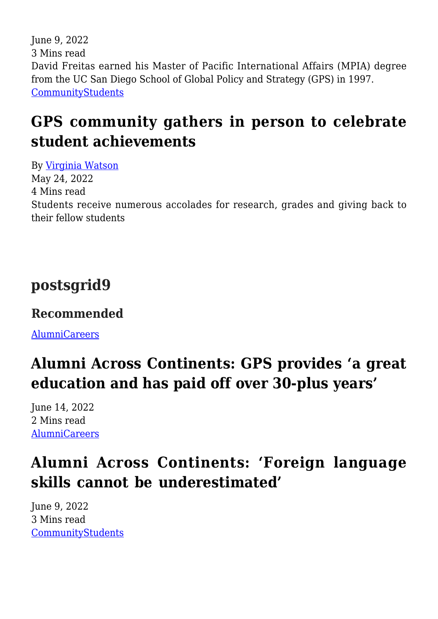June 9, 2022 3 Mins read David Freitas earned his Master of Pacific International Affairs (MPIA) degree from the UC San Diego School of Global Policy and Strategy (GPS) in 1997. [Community](https://gpsnews.ucsd.edu/category/community/)[Students](https://gpsnews.ucsd.edu/category/students/)

# **[GPS community gathers in person to celebrate](https://gpsnews.ucsd.edu/gps-community-gathers-in-person-to-celebrate-student-achievements/) [student achievements](https://gpsnews.ucsd.edu/gps-community-gathers-in-person-to-celebrate-student-achievements/)**

By [Virginia Watson](https://gpsnews.ucsd.edu/author/vwatson/) May 24, 2022 4 Mins read Students receive numerous accolades for research, grades and giving back to their fellow students

### **postsgrid9**

#### **Recommended**

[Alumni](https://gpsnews.ucsd.edu/category/alumni/)[Careers](https://gpsnews.ucsd.edu/category/careers/)

# **[Alumni Across Continents: GPS provides 'a great](https://gpsnews.ucsd.edu/alumni-across-continents-gps-provides-a-great-education-and-has-paid-off-over-30-plus-years/) [education and has paid off over 30-plus years'](https://gpsnews.ucsd.edu/alumni-across-continents-gps-provides-a-great-education-and-has-paid-off-over-30-plus-years/)**

June 14, 2022 2 Mins read [Alumni](https://gpsnews.ucsd.edu/category/alumni/)[Careers](https://gpsnews.ucsd.edu/category/careers/)

# **[Alumni Across Continents: 'Foreign language](https://gpsnews.ucsd.edu/alumni-across-contents-foreign-language-skills-cannot-be-underestimated/) [skills cannot be underestimated'](https://gpsnews.ucsd.edu/alumni-across-contents-foreign-language-skills-cannot-be-underestimated/)**

June 9, 2022 3 Mins read [Community](https://gpsnews.ucsd.edu/category/community/)[Students](https://gpsnews.ucsd.edu/category/students/)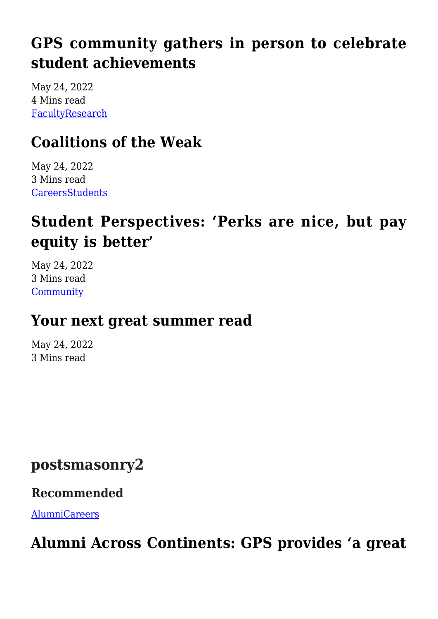# **[GPS community gathers in person to celebrate](https://gpsnews.ucsd.edu/gps-community-gathers-in-person-to-celebrate-student-achievements/) [student achievements](https://gpsnews.ucsd.edu/gps-community-gathers-in-person-to-celebrate-student-achievements/)**

May 24, 2022 4 Mins read [Faculty](https://gpsnews.ucsd.edu/category/faculty/)[Research](https://gpsnews.ucsd.edu/category/research/)

### **[Coalitions of the Weak](https://gpsnews.ucsd.edu/coalitions-of-the-weak/)**

May 24, 2022 3 Mins read **[Careers](https://gpsnews.ucsd.edu/category/careers/)[Students](https://gpsnews.ucsd.edu/category/students/)** 

# **[Student Perspectives: 'Perks are nice, but pay](https://gpsnews.ucsd.edu/student-perspectives-perks-are-nice-but-pay-equity-is-better/) [equity is better'](https://gpsnews.ucsd.edu/student-perspectives-perks-are-nice-but-pay-equity-is-better/)**

May 24, 2022 3 Mins read **[Community](https://gpsnews.ucsd.edu/category/community/)** 

### **[Your next great summer read](https://gpsnews.ucsd.edu/your-next-great-summer-read/)**

May 24, 2022 3 Mins read

### **postsmasonry2**

#### **Recommended**

[Alumni](https://gpsnews.ucsd.edu/category/alumni/)[Careers](https://gpsnews.ucsd.edu/category/careers/)

# **[Alumni Across Continents: GPS provides 'a great](https://gpsnews.ucsd.edu/alumni-across-continents-gps-provides-a-great-education-and-has-paid-off-over-30-plus-years/)**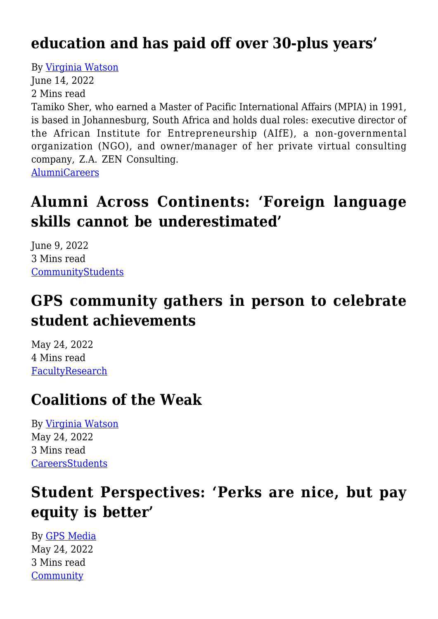### **[education and has paid off over 30-plus years'](https://gpsnews.ucsd.edu/alumni-across-continents-gps-provides-a-great-education-and-has-paid-off-over-30-plus-years/)**

By [Virginia Watson](https://gpsnews.ucsd.edu/author/vwatson/)

June 14, 2022

2 Mins read

Tamiko Sher, who earned a Master of Pacific International Affairs (MPIA) in 1991, is based in Johannesburg, South Africa and holds dual roles: executive director of the African Institute for Entrepreneurship (AIfE), a non-governmental organization (NGO), and owner/manager of her private virtual consulting company, Z.A. ZEN Consulting. [Alumni](https://gpsnews.ucsd.edu/category/alumni/)[Careers](https://gpsnews.ucsd.edu/category/careers/)

### **[Alumni Across Continents: 'Foreign language](https://gpsnews.ucsd.edu/alumni-across-contents-foreign-language-skills-cannot-be-underestimated/) [skills cannot be underestimated'](https://gpsnews.ucsd.edu/alumni-across-contents-foreign-language-skills-cannot-be-underestimated/)**

June 9, 2022 3 Mins read **[Community](https://gpsnews.ucsd.edu/category/community/)[Students](https://gpsnews.ucsd.edu/category/students/)** 

### **[GPS community gathers in person to celebrate](https://gpsnews.ucsd.edu/gps-community-gathers-in-person-to-celebrate-student-achievements/) [student achievements](https://gpsnews.ucsd.edu/gps-community-gathers-in-person-to-celebrate-student-achievements/)**

May 24, 2022 4 Mins read [Faculty](https://gpsnews.ucsd.edu/category/faculty/)[Research](https://gpsnews.ucsd.edu/category/research/)

### **[Coalitions of the Weak](https://gpsnews.ucsd.edu/coalitions-of-the-weak/)**

By [Virginia Watson](https://gpsnews.ucsd.edu/author/vwatson/) May 24, 2022 3 Mins read **[Careers](https://gpsnews.ucsd.edu/category/careers/)[Students](https://gpsnews.ucsd.edu/category/students/)** 

# **[Student Perspectives: 'Perks are nice, but pay](https://gpsnews.ucsd.edu/student-perspectives-perks-are-nice-but-pay-equity-is-better/) [equity is better'](https://gpsnews.ucsd.edu/student-perspectives-perks-are-nice-but-pay-equity-is-better/)**

By [GPS Media](https://gpsnews.ucsd.edu/author/amrobinson/) May 24, 2022 3 Mins read **[Community](https://gpsnews.ucsd.edu/category/community/)**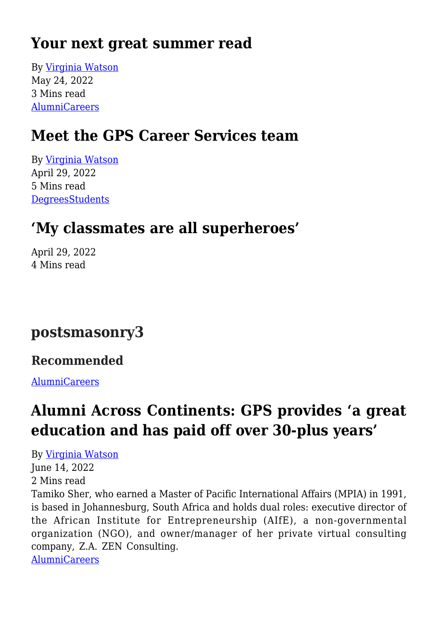### **[Your next great summer read](https://gpsnews.ucsd.edu/your-next-great-summer-read/)**

By [Virginia Watson](https://gpsnews.ucsd.edu/author/vwatson/) May 24, 2022 3 Mins read [Alumni](https://gpsnews.ucsd.edu/category/alumni/)[Careers](https://gpsnews.ucsd.edu/category/careers/)

### **[Meet the GPS Career Services team](https://gpsnews.ucsd.edu/meet-the-gps-career-services-team/)**

By [Virginia Watson](https://gpsnews.ucsd.edu/author/vwatson/) April 29, 2022 5 Mins read **[Degrees](https://gpsnews.ucsd.edu/category/degrees/)[Students](https://gpsnews.ucsd.edu/category/students/)** 

### **['My classmates are all superheroes'](https://gpsnews.ucsd.edu/my-classmates-are-all-superheroes/)**

April 29, 2022 4 Mins read

### **postsmasonry3**

#### **Recommended**

[Alumni](https://gpsnews.ucsd.edu/category/alumni/)[Careers](https://gpsnews.ucsd.edu/category/careers/)

### **[Alumni Across Continents: GPS provides 'a great](https://gpsnews.ucsd.edu/alumni-across-continents-gps-provides-a-great-education-and-has-paid-off-over-30-plus-years/) [education and has paid off over 30-plus years'](https://gpsnews.ucsd.edu/alumni-across-continents-gps-provides-a-great-education-and-has-paid-off-over-30-plus-years/)**

#### By [Virginia Watson](https://gpsnews.ucsd.edu/author/vwatson/)

June 14, 2022 2 Mins read

Tamiko Sher, who earned a Master of Pacific International Affairs (MPIA) in 1991, is based in Johannesburg, South Africa and holds dual roles: executive director of the African Institute for Entrepreneurship (AIfE), a non-governmental organization (NGO), and owner/manager of her private virtual consulting company, Z.A. ZEN Consulting.

[Alumni](https://gpsnews.ucsd.edu/category/alumni/)[Careers](https://gpsnews.ucsd.edu/category/careers/)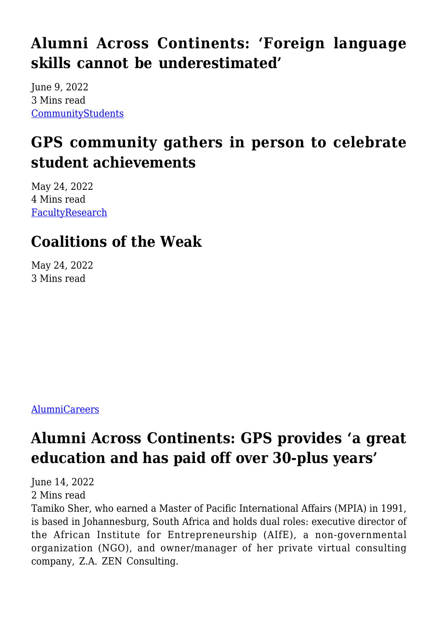### **[Alumni Across Continents: 'Foreign language](https://gpsnews.ucsd.edu/alumni-across-contents-foreign-language-skills-cannot-be-underestimated/) [skills cannot be underestimated'](https://gpsnews.ucsd.edu/alumni-across-contents-foreign-language-skills-cannot-be-underestimated/)**

June 9, 2022 3 Mins read [Community](https://gpsnews.ucsd.edu/category/community/)[Students](https://gpsnews.ucsd.edu/category/students/)

### **[GPS community gathers in person to celebrate](https://gpsnews.ucsd.edu/gps-community-gathers-in-person-to-celebrate-student-achievements/) [student achievements](https://gpsnews.ucsd.edu/gps-community-gathers-in-person-to-celebrate-student-achievements/)**

May 24, 2022 4 Mins read [Faculty](https://gpsnews.ucsd.edu/category/faculty/)[Research](https://gpsnews.ucsd.edu/category/research/)

# **[Coalitions of the Weak](https://gpsnews.ucsd.edu/coalitions-of-the-weak/)**

May 24, 2022 3 Mins read

#### [Alumni](https://gpsnews.ucsd.edu/category/alumni/)[Careers](https://gpsnews.ucsd.edu/category/careers/)

# **[Alumni Across Continents: GPS provides 'a great](https://gpsnews.ucsd.edu/alumni-across-continents-gps-provides-a-great-education-and-has-paid-off-over-30-plus-years/) [education and has paid off over 30-plus years'](https://gpsnews.ucsd.edu/alumni-across-continents-gps-provides-a-great-education-and-has-paid-off-over-30-plus-years/)**

June 14, 2022 2 Mins read

Tamiko Sher, who earned a Master of Pacific International Affairs (MPIA) in 1991, is based in Johannesburg, South Africa and holds dual roles: executive director of the African Institute for Entrepreneurship (AIfE), a non-governmental organization (NGO), and owner/manager of her private virtual consulting company, Z.A. ZEN Consulting.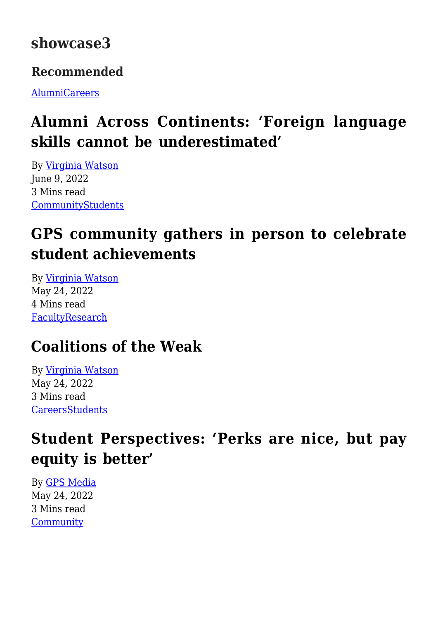### **showcase3**

#### **Recommended**

[Alumni](https://gpsnews.ucsd.edu/category/alumni/)[Careers](https://gpsnews.ucsd.edu/category/careers/)

# **[Alumni Across Continents: 'Foreign language](https://gpsnews.ucsd.edu/alumni-across-contents-foreign-language-skills-cannot-be-underestimated/) [skills cannot be underestimated'](https://gpsnews.ucsd.edu/alumni-across-contents-foreign-language-skills-cannot-be-underestimated/)**

By [Virginia Watson](https://gpsnews.ucsd.edu/author/vwatson/) June 9, 2022 3 Mins read [Community](https://gpsnews.ucsd.edu/category/community/)[Students](https://gpsnews.ucsd.edu/category/students/)

# **[GPS community gathers in person to celebrate](https://gpsnews.ucsd.edu/gps-community-gathers-in-person-to-celebrate-student-achievements/) [student achievements](https://gpsnews.ucsd.edu/gps-community-gathers-in-person-to-celebrate-student-achievements/)**

By [Virginia Watson](https://gpsnews.ucsd.edu/author/vwatson/) May 24, 2022 4 Mins read [Faculty](https://gpsnews.ucsd.edu/category/faculty/)[Research](https://gpsnews.ucsd.edu/category/research/)

# **[Coalitions of the Weak](https://gpsnews.ucsd.edu/coalitions-of-the-weak/)**

By [Virginia Watson](https://gpsnews.ucsd.edu/author/vwatson/) May 24, 2022 3 Mins read **[Careers](https://gpsnews.ucsd.edu/category/careers/)[Students](https://gpsnews.ucsd.edu/category/students/)** 

# **[Student Perspectives: 'Perks are nice, but pay](https://gpsnews.ucsd.edu/student-perspectives-perks-are-nice-but-pay-equity-is-better/) [equity is better'](https://gpsnews.ucsd.edu/student-perspectives-perks-are-nice-but-pay-equity-is-better/)**

By [GPS Media](https://gpsnews.ucsd.edu/author/amrobinson/) May 24, 2022 3 Mins read **[Community](https://gpsnews.ucsd.edu/category/community/)**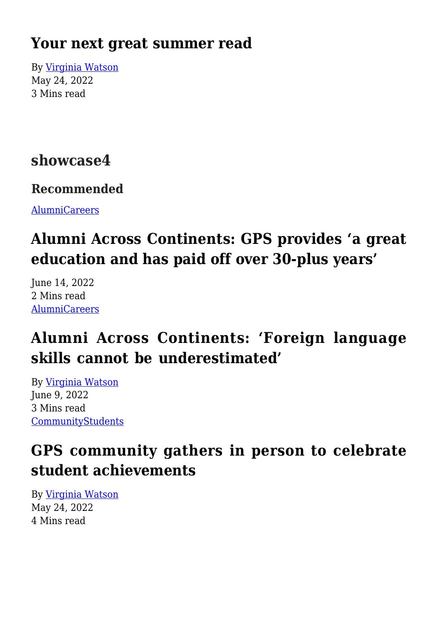### **[Your next great summer read](https://gpsnews.ucsd.edu/your-next-great-summer-read/)**

By [Virginia Watson](https://gpsnews.ucsd.edu/author/vwatson/) May 24, 2022 3 Mins read

### **showcase4**

#### **Recommended**

[Alumni](https://gpsnews.ucsd.edu/category/alumni/)[Careers](https://gpsnews.ucsd.edu/category/careers/)

# **[Alumni Across Continents: GPS provides 'a great](https://gpsnews.ucsd.edu/alumni-across-continents-gps-provides-a-great-education-and-has-paid-off-over-30-plus-years/) [education and has paid off over 30-plus years'](https://gpsnews.ucsd.edu/alumni-across-continents-gps-provides-a-great-education-and-has-paid-off-over-30-plus-years/)**

June 14, 2022 2 Mins read [Alumni](https://gpsnews.ucsd.edu/category/alumni/)[Careers](https://gpsnews.ucsd.edu/category/careers/)

### **[Alumni Across Continents: 'Foreign language](https://gpsnews.ucsd.edu/alumni-across-contents-foreign-language-skills-cannot-be-underestimated/) [skills cannot be underestimated'](https://gpsnews.ucsd.edu/alumni-across-contents-foreign-language-skills-cannot-be-underestimated/)**

By [Virginia Watson](https://gpsnews.ucsd.edu/author/vwatson/) June 9, 2022 3 Mins read [Community](https://gpsnews.ucsd.edu/category/community/)[Students](https://gpsnews.ucsd.edu/category/students/)

### **[GPS community gathers in person to celebrate](https://gpsnews.ucsd.edu/gps-community-gathers-in-person-to-celebrate-student-achievements/) [student achievements](https://gpsnews.ucsd.edu/gps-community-gathers-in-person-to-celebrate-student-achievements/)**

By [Virginia Watson](https://gpsnews.ucsd.edu/author/vwatson/) May 24, 2022 4 Mins read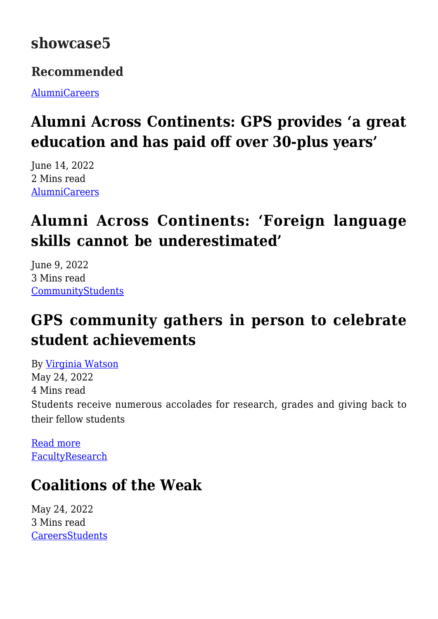### **showcase5**

#### **Recommended**

[Alumni](https://gpsnews.ucsd.edu/category/alumni/)[Careers](https://gpsnews.ucsd.edu/category/careers/)

# **[Alumni Across Continents: GPS provides 'a great](https://gpsnews.ucsd.edu/alumni-across-continents-gps-provides-a-great-education-and-has-paid-off-over-30-plus-years/) [education and has paid off over 30-plus years'](https://gpsnews.ucsd.edu/alumni-across-continents-gps-provides-a-great-education-and-has-paid-off-over-30-plus-years/)**

June 14, 2022 2 Mins read [Alumni](https://gpsnews.ucsd.edu/category/alumni/)[Careers](https://gpsnews.ucsd.edu/category/careers/)

# **[Alumni Across Continents: 'Foreign language](https://gpsnews.ucsd.edu/alumni-across-contents-foreign-language-skills-cannot-be-underestimated/) [skills cannot be underestimated'](https://gpsnews.ucsd.edu/alumni-across-contents-foreign-language-skills-cannot-be-underestimated/)**

June 9, 2022 3 Mins read **[Community](https://gpsnews.ucsd.edu/category/community/)[Students](https://gpsnews.ucsd.edu/category/students/)** 

# **[GPS community gathers in person to celebrate](https://gpsnews.ucsd.edu/gps-community-gathers-in-person-to-celebrate-student-achievements/) [student achievements](https://gpsnews.ucsd.edu/gps-community-gathers-in-person-to-celebrate-student-achievements/)**

By [Virginia Watson](https://gpsnews.ucsd.edu/author/vwatson/) May 24, 2022 4 Mins read Students receive numerous accolades for research, grades and giving back to their fellow students

[Read more](https://gpsnews.ucsd.edu/gps-community-gathers-in-person-to-celebrate-student-achievements/) [Faculty](https://gpsnews.ucsd.edu/category/faculty/)[Research](https://gpsnews.ucsd.edu/category/research/)

# **[Coalitions of the Weak](https://gpsnews.ucsd.edu/coalitions-of-the-weak/)**

May 24, 2022 3 Mins read **[Careers](https://gpsnews.ucsd.edu/category/careers/)[Students](https://gpsnews.ucsd.edu/category/students/)**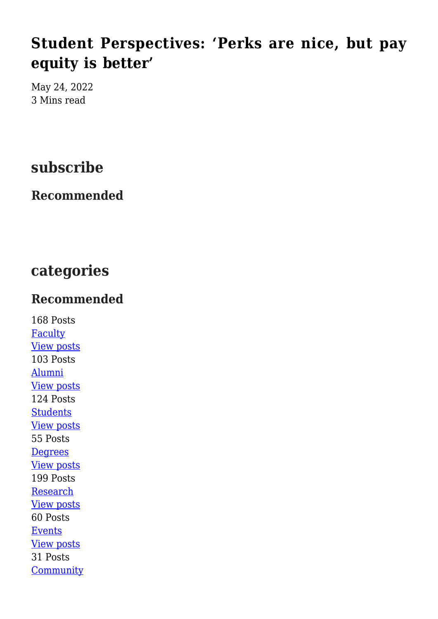### **[Student Perspectives: 'Perks are nice, but pay](https://gpsnews.ucsd.edu/student-perspectives-perks-are-nice-but-pay-equity-is-better/) [equity is better'](https://gpsnews.ucsd.edu/student-perspectives-perks-are-nice-but-pay-equity-is-better/)**

May 24, 2022 3 Mins read

### **subscribe**

#### **Recommended**

### **categories**

#### **Recommended**

168 Posts **[Faculty](https://gpsnews.ucsd.edu/category/faculty/)** [View posts](https://gpsnews.ucsd.edu/category/faculty/) 103 Posts [Alumni](https://gpsnews.ucsd.edu/category/alumni/) [View posts](https://gpsnews.ucsd.edu/category/alumni/) 124 Posts **[Students](https://gpsnews.ucsd.edu/category/students/)** [View posts](https://gpsnews.ucsd.edu/category/students/) 55 Posts **[Degrees](https://gpsnews.ucsd.edu/category/degrees/)** [View posts](https://gpsnews.ucsd.edu/category/degrees/) 199 Posts **[Research](https://gpsnews.ucsd.edu/category/research/)** [View posts](https://gpsnews.ucsd.edu/category/research/) 60 Posts [Events](https://gpsnews.ucsd.edu/category/events/) [View posts](https://gpsnews.ucsd.edu/category/events/) 31 Posts **[Community](https://gpsnews.ucsd.edu/category/community/)**